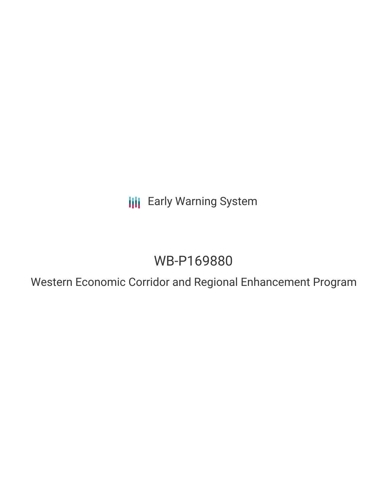**III** Early Warning System

## WB-P169880

Western Economic Corridor and Regional Enhancement Program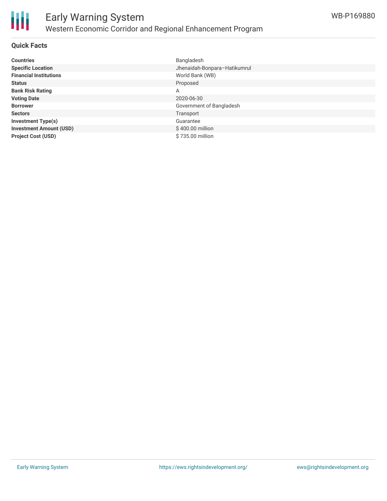

#### **Quick Facts**

| <b>Countries</b>               | Bangladesh                   |
|--------------------------------|------------------------------|
| <b>Specific Location</b>       | Jhenaidah-Bonpara-Hatikumrul |
| <b>Financial Institutions</b>  | World Bank (WB)              |
| <b>Status</b>                  | Proposed                     |
| <b>Bank Risk Rating</b>        | A                            |
| <b>Voting Date</b>             | 2020-06-30                   |
| <b>Borrower</b>                | Government of Bangladesh     |
| <b>Sectors</b>                 | Transport                    |
| <b>Investment Type(s)</b>      | Guarantee                    |
| <b>Investment Amount (USD)</b> | \$400.00 million             |
| <b>Project Cost (USD)</b>      | \$735.00 million             |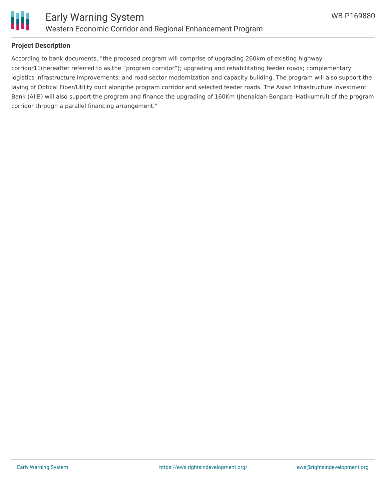

# Ш

#### **Project Description**

According to bank documents, "the proposed program will comprise of upgrading 260km of existing highway corridor11(hereafter referred to as the "program corridor"); upgrading and rehabilitating feeder roads; complementary logistics infrastructure improvements; and road sector modernization and capacity building. The program will also support the laying of Optical Fiber/Utility duct alongthe program corridor and selected feeder roads. The Asian Infrastructure Investment Bank (AIIB) will also support the program and finance the upgrading of 160Km (Jhenaidah-Bonpara–Hatikumrul) of the program corridor through a parallel financing arrangement."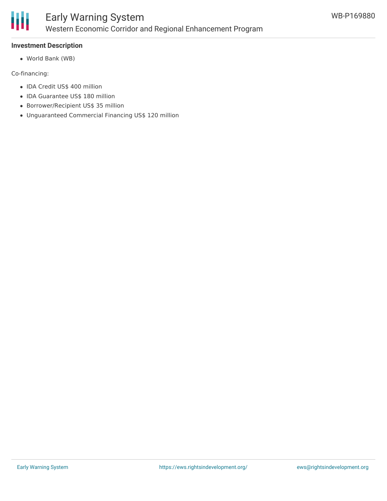

#### **Investment Description**

World Bank (WB)

Co-financing:

- IDA Credit US\$ 400 million
- IDA Guarantee US\$ 180 million
- Borrower/Recipient US\$ 35 million
- Unguaranteed Commercial Financing US\$ 120 million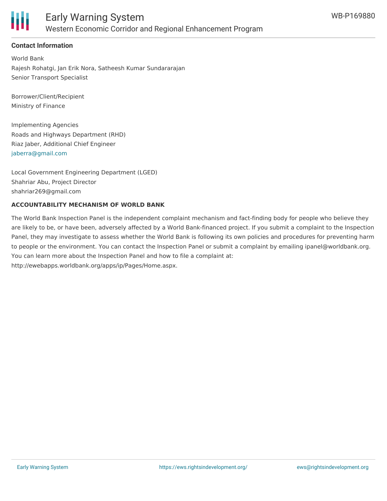

#### **Contact Information**

World Bank Rajesh Rohatgi, Jan Erik Nora, Satheesh Kumar Sundararajan Senior Transport Specialist

Borrower/Client/Recipient Ministry of Finance

Implementing Agencies Roads and Highways Department (RHD) Riaz Jaber, Additional Chief Engineer [jaberra@gmail.com](mailto:jaberra@gmail.com)

Local Government Engineering Department (LGED) Shahriar Abu, Project Director shahriar269@gmail.com

#### **ACCOUNTABILITY MECHANISM OF WORLD BANK**

The World Bank Inspection Panel is the independent complaint mechanism and fact-finding body for people who believe they are likely to be, or have been, adversely affected by a World Bank-financed project. If you submit a complaint to the Inspection Panel, they may investigate to assess whether the World Bank is following its own policies and procedures for preventing harm to people or the environment. You can contact the Inspection Panel or submit a complaint by emailing ipanel@worldbank.org. You can learn more about the Inspection Panel and how to file a complaint at: http://ewebapps.worldbank.org/apps/ip/Pages/Home.aspx.